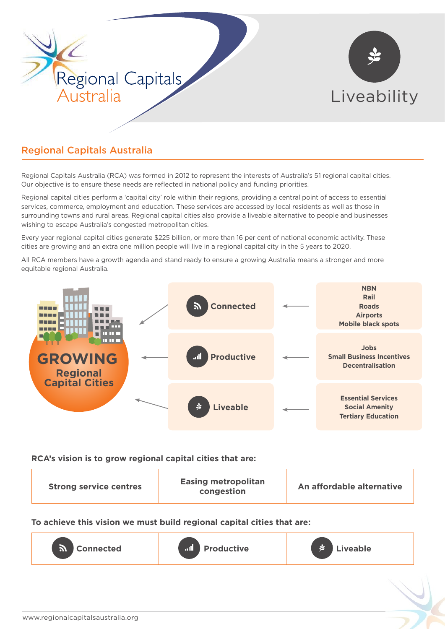

# Regional Capitals Australia

Regional Capitals Australia (RCA) was formed in 2012 to represent the interests of Australia's 51 regional capital cities. Our objective is to ensure these needs are reflected in national policy and funding priorities.

Regional capital cities perform a 'capital city' role within their regions, providing a central point of access to essential services, commerce, employment and education. These services are accessed by local residents as well as those in surrounding towns and rural areas. Regional capital cities also provide a liveable alternative to people and businesses wishing to escape Australia's congested metropolitan cities.

Every year regional capital cities generate \$225 billion, or more than 16 per cent of national economic activity. These cities are growing and an extra one million people will live in a regional capital city in the 5 years to 2020.

All RCA members have a growth agenda and stand ready to ensure a growing Australia means a stronger and more equitable regional Australia.



#### **RCA's vision is to grow regional capital cities that are:**

|--|

**To achieve this vision we must build regional capital cities that are:**